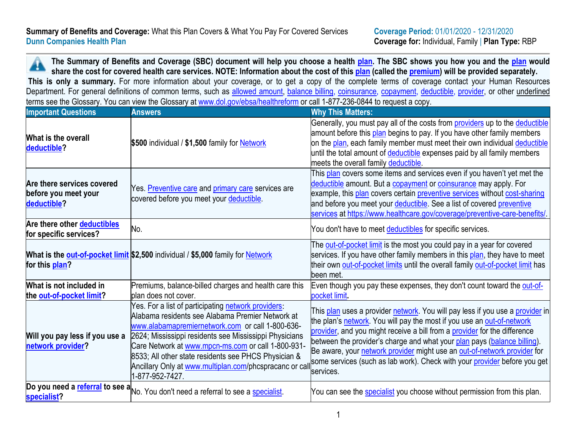A **The Summary of Benefits and Coverage (SBC) document will help you choose a health [plan.](https://www.healthcare.gov/sbc-glossary/#plan) The SBC shows you how you and the [plan](https://www.healthcare.gov/sbc-glossary/#plan) would share the cost for covered health care services. NOTE: Information about the cost of this [plan](https://www.healthcare.gov/sbc-glossary/#plan) (called the [premium\)](https://www.healthcare.gov/sbc-glossary/#premium) will be provided separately. This is only a summary.** For more information about your coverage, or to get a copy of the complete terms of coverage contact your Human Resources Department. For general definitions of common terms, such as [allowed amount,](https://www.healthcare.gov/sbc-glossary/#allowed-amount) [balance billing,](https://www.healthcare.gov/sbc-glossary/#balance-billing) [coinsurance,](https://www.healthcare.gov/sbc-glossary/#coinsurance) [copayment,](https://www.healthcare.gov/sbc-glossary/#copayment) [deductible,](https://www.healthcare.gov/sbc-glossary/#deductible) [provider,](https://www.healthcare.gov/sbc-glossary/#provider) or other underlined terms see the Glossary. You can view the Glossary at [www.dol.gov/ebsa/healthreform](http://www.dol.gov/ebsa/healthreform%20or%20call%201-877-236-0844) or call 1-877-236-0844 to request a copy.

| <b>Important Questions</b>                                        | <b>Answers</b>                                                                                                                                                                                                                                                                                                                                                                                                  | <b>Why This Matters:</b>                                                                                                                                                                                                                                                                                                                                                                                                                                                                      |
|-------------------------------------------------------------------|-----------------------------------------------------------------------------------------------------------------------------------------------------------------------------------------------------------------------------------------------------------------------------------------------------------------------------------------------------------------------------------------------------------------|-----------------------------------------------------------------------------------------------------------------------------------------------------------------------------------------------------------------------------------------------------------------------------------------------------------------------------------------------------------------------------------------------------------------------------------------------------------------------------------------------|
| What is the overall<br>deductible?                                | \$500 individual / \$1,500 family for Network                                                                                                                                                                                                                                                                                                                                                                   | Generally, you must pay all of the costs from <i>providers</i> up to the deductible<br>amount before this plan begins to pay. If you have other family members<br>on the plan, each family member must meet their own individual deductible<br>until the total amount of deductible expenses paid by all family members<br>meets the overall family deductible.                                                                                                                               |
| Are there services covered<br>before you meet your<br>deductible? | Yes. Preventive care and primary care services are<br>covered before you meet your deductible.                                                                                                                                                                                                                                                                                                                  | This plan covers some items and services even if you haven't yet met the<br>deductible amount. But a copayment or coinsurance may apply. For<br>example, this plan covers certain preventive services without cost-sharing<br>and before you meet your deductible. See a list of covered preventive<br>services at https://www.healthcare.gov/coverage/preventive-care-benefits/                                                                                                              |
| Are there other deductibles<br>for specific services?             | No.                                                                                                                                                                                                                                                                                                                                                                                                             | You don't have to meet deductibles for specific services.                                                                                                                                                                                                                                                                                                                                                                                                                                     |
| for this plan?                                                    | What is the <b>out-of-pocket limit</b> \$2,500 individual / \$5,000 family for <b>Network</b>                                                                                                                                                                                                                                                                                                                   | The out-of-pocket limit is the most you could pay in a year for covered<br>services. If you have other family members in this plan, they have to meet<br>their own out-of-pocket limits until the overall family out-of-pocket limit has<br>been met.                                                                                                                                                                                                                                         |
| What is not included in<br>the out-of-pocket limit?               | Premiums, balance-billed charges and health care this<br>plan does not cover.                                                                                                                                                                                                                                                                                                                                   | Even though you pay these expenses, they don't count toward the out-of-<br>pocket limit.                                                                                                                                                                                                                                                                                                                                                                                                      |
| Will you pay less if you use a<br>network provider?               | Yes. For a list of participating network providers:<br>Alabama residents see Alabama Premier Network at<br>www.alabamapremiernetwork.com or call 1-800-636-<br>2624; Mississippi residents see Mississippi Physicians<br>Care Network at www.mpcn-ms.com or call 1-800-931-<br>8533; All other state residents see PHCS Physician &<br>Ancillary Only at www.multiplan.com/phcspracanc or cal<br>-877-952-7427. | This <u>plan</u> uses a provider network. You will pay less if you use a provider in<br>the plan's network. You will pay the most if you use an out-of-network<br>provider, and you might receive a bill from a provider for the difference<br>between the provider's charge and what your plan pays (balance billing).<br>Be aware, your network provider might use an out-of-network provider for<br>some services (such as lab work). Check with your provider before you get<br>services. |
| specialist?                                                       | Do you need a referral to see a No. You don't need a referral to see a specialist.                                                                                                                                                                                                                                                                                                                              | You can see the <b>specialist</b> you choose without permission from this plan.                                                                                                                                                                                                                                                                                                                                                                                                               |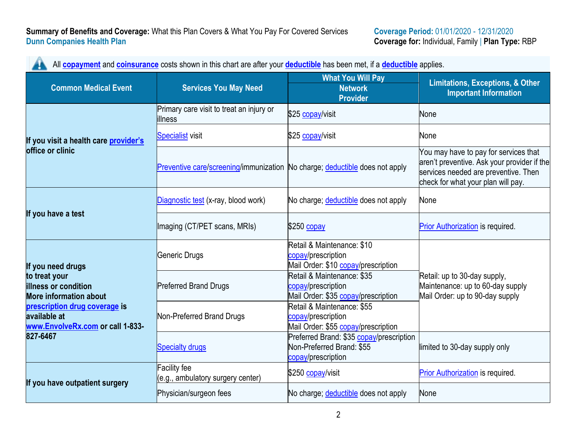|                                                                                   |                                                                             | All <b>copayment</b> and <b>coinsurance</b> costs shown in this chart are after your <b>deductible</b> has been met, if a <b>deductible</b> applies. |                                                                                                                                                                    |  |
|-----------------------------------------------------------------------------------|-----------------------------------------------------------------------------|------------------------------------------------------------------------------------------------------------------------------------------------------|--------------------------------------------------------------------------------------------------------------------------------------------------------------------|--|
| <b>Common Medical Event</b>                                                       | <b>Services You May Need</b>                                                | <b>What You Will Pay</b><br><b>Network</b><br><b>Provider</b>                                                                                        | <b>Limitations, Exceptions, &amp; Other</b><br><b>Important Information</b>                                                                                        |  |
|                                                                                   | Primary care visit to treat an injury or<br>illness                         | \$25 copay/visit                                                                                                                                     | None                                                                                                                                                               |  |
| If you visit a health care provider's                                             | <b>Specialist</b> visit                                                     | \$25 copay/visit                                                                                                                                     | None                                                                                                                                                               |  |
| office or clinic                                                                  | Preventive care/screening/immunization No charge; deductible does not apply |                                                                                                                                                      | You may have to pay for services that<br>aren't preventive. Ask your provider if the<br>services needed are preventive. Then<br>check for what your plan will pay. |  |
|                                                                                   | Diagnostic test (x-ray, blood work)                                         | No charge; deductible does not apply                                                                                                                 | None                                                                                                                                                               |  |
| If you have a test                                                                | Imaging (CT/PET scans, MRIs)                                                | \$250 copay                                                                                                                                          | Prior Authorization is required.                                                                                                                                   |  |
| If you need drugs                                                                 | Generic Drugs                                                               | Retail & Maintenance: \$10<br>copay/prescription<br>Mail Order: \$10 copay/prescription                                                              |                                                                                                                                                                    |  |
| to treat your<br>illness or condition<br><b>More information about</b>            | <b>Preferred Brand Drugs</b>                                                | Retail & Maintenance: \$35<br>copay/prescription<br>Mail Order: \$35 copay/prescription                                                              | Retail: up to 30-day supply,<br>Maintenance: up to 60-day supply<br>Mail Order: up to 90-day supply                                                                |  |
| prescription drug coverage is<br>available at<br>www.EnvolveRx.com or call 1-833- | Non-Preferred Brand Drugs                                                   | Retail & Maintenance: \$55<br>copay/prescription<br>Mail Order: \$55 copay/prescription                                                              |                                                                                                                                                                    |  |
| 827-6467                                                                          | <b>Specialty drugs</b>                                                      | Preferred Brand: \$35 copay/prescription<br>Non-Preferred Brand: \$55<br>copay/prescription                                                          | limited to 30-day supply only                                                                                                                                      |  |
| If you have outpatient surgery                                                    | <b>Facility fee</b><br>(e.g., ambulatory surgery center)                    | \$250 copay/visit                                                                                                                                    | Prior Authorization is required.                                                                                                                                   |  |
|                                                                                   | Physician/surgeon fees                                                      | No charge; deductible does not apply                                                                                                                 | None                                                                                                                                                               |  |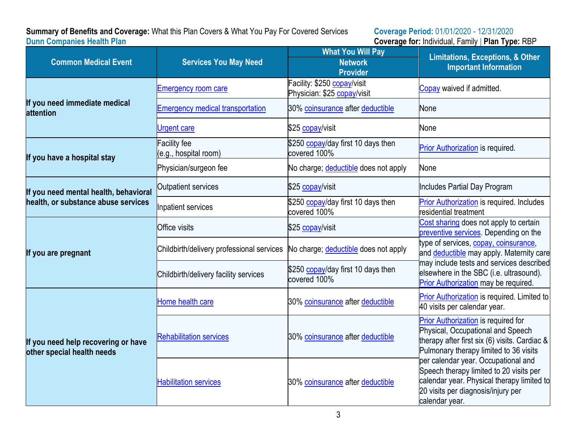## **Summary of Benefits and Coverage:** What this Plan Covers & What You Pay For Covered Services **Coverage Period:** 01/01/2020 - 12/31/2020 **Dunn Companies Health Plan Coverage for:** Individual, Family | **Plan Type:** RBP

|                                                                   |                                              | <b>What You Will Pay</b>                                   | <b>Limitations, Exceptions, &amp; Other</b><br><b>Important Information</b>                                                                                                          |  |
|-------------------------------------------------------------------|----------------------------------------------|------------------------------------------------------------|--------------------------------------------------------------------------------------------------------------------------------------------------------------------------------------|--|
| <b>Common Medical Event</b>                                       | <b>Services You May Need</b>                 | <b>Network</b><br><b>Provider</b>                          |                                                                                                                                                                                      |  |
|                                                                   | <b>Emergency room care</b>                   | Facility: \$250 copay/visit<br>Physician: \$25 copay/visit | Copay waived if admitted.                                                                                                                                                            |  |
| If you need immediate medical<br>attention                        | <b>Emergency medical transportation</b>      | 30% coinsurance after deductible                           | None                                                                                                                                                                                 |  |
|                                                                   | <b>Urgent care</b>                           | \$25 copay/visit                                           | None                                                                                                                                                                                 |  |
| If you have a hospital stay                                       | <b>Facility fee</b><br>(e.g., hospital room) | \$250 copay/day first 10 days then<br>covered 100%         | Prior Authorization is required.                                                                                                                                                     |  |
|                                                                   | Physician/surgeon fee                        | No charge; deductible does not apply                       | None                                                                                                                                                                                 |  |
| If you need mental health, behavioral                             | Outpatient services                          | \$25 copay/visit                                           | Includes Partial Day Program                                                                                                                                                         |  |
| health, or substance abuse services                               | Inpatient services                           | \$250 copay/day first 10 days then<br>covered 100%         | <b>Prior Authorization is required. Includes</b><br>residential treatment                                                                                                            |  |
|                                                                   | <b>Office visits</b>                         | \$25 copay/visit                                           | Cost sharing does not apply to certain<br>preventive services. Depending on the                                                                                                      |  |
| If you are pregnant                                               | Childbirth/delivery professional services    | No charge; deductible does not apply                       | type of services, copay, coinsurance,<br>and deductible may apply. Maternity care                                                                                                    |  |
|                                                                   | Childbirth/delivery facility services        | \$250 copay/day first 10 days then<br>covered 100%         | may include tests and services described<br>elsewhere in the SBC (i.e. ultrasound).<br>Prior Authorization may be required.                                                          |  |
|                                                                   | Home health care                             | 30% coinsurance after deductible                           | Prior Authorization is required. Limited to<br>40 visits per calendar year.                                                                                                          |  |
| If you need help recovering or have<br>other special health needs | <b>Rehabilitation services</b>               | 30% coinsurance after deductible                           | Prior Authorization is required for<br>Physical, Occupational and Speech<br>therapy after first six (6) visits. Cardiac &<br>Pulmonary therapy limited to 36 visits                  |  |
|                                                                   | <b>Habilitation services</b>                 | 30% coinsurance after deductible                           | per calendar year. Occupational and<br>Speech therapy limited to 20 visits per<br>calendar year. Physical therapy limited to<br>20 visits per diagnosis/injury per<br>calendar year. |  |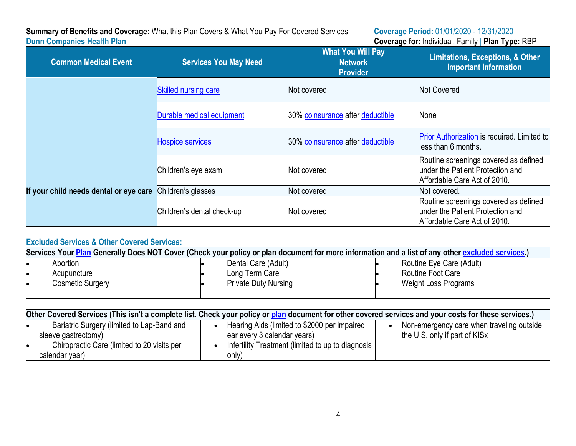# **Summary of Benefits and Coverage:** What this Plan Covers & What You Pay For Covered Services **Dunn Companies Health Plan**

**Coverage Period:** 01/01/2020 - 12/31/2020<br>**Coverage for:** Individual, Family | **Plan Type:** RBP

| <b>Common Medical Event</b>            | <b>Services You May Need</b> | <b>What You Will Pay</b><br><b>Network</b><br><b>Provider</b> | <b>Limitations, Exceptions, &amp; Other</b><br><b>Important Information</b>                               |  |
|----------------------------------------|------------------------------|---------------------------------------------------------------|-----------------------------------------------------------------------------------------------------------|--|
|                                        | <b>Skilled nursing care</b>  | Not covered                                                   | <b>Not Covered</b>                                                                                        |  |
|                                        | Durable medical equipment    | 30% coinsurance after deductible                              | None                                                                                                      |  |
|                                        | <b>Hospice services</b>      | 30% coinsurance after deductible                              | Prior Authorization is required. Limited to<br>less than 6 months.                                        |  |
|                                        | Children's eye exam          | Not covered                                                   | Routine screenings covered as defined<br>under the Patient Protection and<br>Affordable Care Act of 2010. |  |
| If your child needs dental or eye care | Children's glasses           | Not covered                                                   | Not covered.                                                                                              |  |
|                                        | Children's dental check-up   | Not covered                                                   | Routine screenings covered as defined<br>under the Patient Protection and<br>Affordable Care Act of 2010. |  |

# **Excluded Services & Other Covered Services:**

| Services Your Plan Generally Does NOT Cover (Check your policy or plan document for more information and a list of any other excluded services.) |                  |  |                             |                          |  |
|--------------------------------------------------------------------------------------------------------------------------------------------------|------------------|--|-----------------------------|--------------------------|--|
|                                                                                                                                                  | Abortion         |  | Dental Care (Adult)         | Routine Eye Care (Adult) |  |
|                                                                                                                                                  | Acupuncture      |  | Long Term Care              | Routine Foot Care        |  |
|                                                                                                                                                  | Cosmetic Surgery |  | <b>Private Duty Nursing</b> | Weight Loss Programs     |  |

| Other Covered Services (This isn't a complete list. Check your policy or plan document for other covered services and your costs for these services.) |                                                   |                                           |  |  |
|-------------------------------------------------------------------------------------------------------------------------------------------------------|---------------------------------------------------|-------------------------------------------|--|--|
| Bariatric Surgery (limited to Lap-Band and                                                                                                            | Hearing Aids (limited to \$2000 per impaired      | Non-emergency care when traveling outside |  |  |
| sleeve gastrectomy)                                                                                                                                   | ear every 3 calendar years)                       | the U.S. only if part of KISx             |  |  |
| Chiropractic Care (limited to 20 visits per                                                                                                           | Infertility Treatment (limited to up to diagnosis |                                           |  |  |
| calendar year)                                                                                                                                        | only)                                             |                                           |  |  |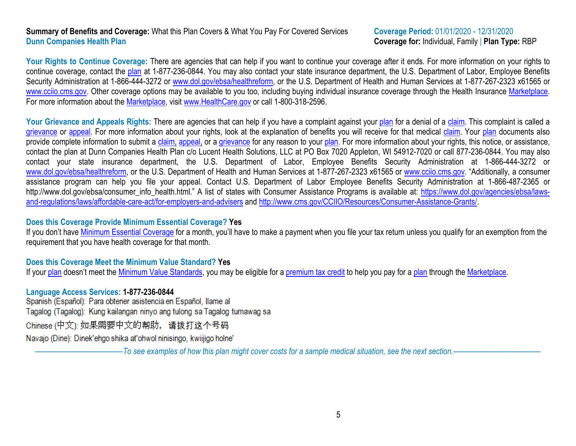### **Summary of Benefits and Coverage:** What this Plan Covers & What You Pay For Covered Services **Coverage Period:** 01/01/2020 - 12/31/2020 **Dunn Companies Health Plan Coverage for:** Individual, Family | **Plan Type:** RBP

Your Rights to Continue Coverage: There are agencies that can help if you want to continue your coverage after it ends. For more information on your rights to continue coverage, contact the [plan](https://www.healthcare.gov/sbc-glossary/#plan) at 1-877-236-0844. You may also contact your state insurance department, the U.S. Department of Labor, Employee Benefits Security Administration at 1-866-444-3272 or [www.dol.gov/ebsa](http://www.dol.gov/ebsa)[/healthreform,](http://www.dol.gov/ebsa/healthreform) or the U.S. Department of Health and Human Services at 1-877-267-2323 x61565 or [www.cciio.cms.gov.](http://www.cciio.cms.gov/) Other coverage options may be available to you too, including buying individual insurance coverage through the Health Insurance [Marketplace.](https://www.healthcare.gov/sbc-glossary/#marketplace) For more information about the [Marketplace,](https://www.healthcare.gov/sbc-glossary/#marketplace) visit [www.HealthCare.gov](http://www.healthcare.gov/) or call 1-800-318-2596.

Your Grievance and Appeals Rights: There are agencies that can help if you have a complaint against your [plan](https://www.healthcare.gov/sbc-glossary/#plan) for a denial of a [claim.](https://www.healthcare.gov/sbc-glossary/#claim) This complaint is called a [grievance](https://www.healthcare.gov/sbc-glossary/#grievance) or [appeal.](https://www.healthcare.gov/sbc-glossary/#appeal) For more information about your rights, look at the explanation of benefits you will receive for that medical [claim.](https://www.healthcare.gov/sbc-glossary/#claim) Your [plan](https://www.healthcare.gov/sbc-glossary/#plan) documents also provide complete information to submit a [claim,](https://www.healthcare.gov/sbc-glossary/#claim) [appeal,](https://www.healthcare.gov/sbc-glossary/#appeal) or a [grievance](https://www.healthcare.gov/sbc-glossary/#grievance) for any reason to your [plan.](https://www.healthcare.gov/sbc-glossary/#plan) For more information about your rights, this notice, or assistance, contact the plan at Dunn Companies Health Plan c/o Lucent Health Solutions, LLC at PO Box 7020 Appleton, WI 54912-7020 or call 877-236-0844. You may also contact your state insurance department, the U.S. Department of Labor, Employee Benefits Security Administration at 1-866-444-3272 or [www.dol.gov/ebsa/healthreform,](http://www.dol.gov/ebsa/healthreform) or the U.S. Department of Health and Human Services at 1-877-267-2323 x61565 or [www.cciio.cms.gov.](http://www.cciio.cms.gov/) "Additionally, a consumer assistance program can help you file your appeal. Contact U.S. Department of Labor Employee Benefits Security Administration at 1-866-487-2365 or http://www.dol.gov/ebsa/consumer\_info\_health.html." A list of states with Consumer Assistance Programs is available at: [https://www.dol.gov/agencies/ebsa/laws](https://www.dol.gov/agencies/ebsa/laws-and-regulations/laws/affordable-care-act/for-employers-and-advisers)[and-regulations/laws/affordable-care-act/for-employers-and-advisers](https://www.dol.gov/agencies/ebsa/laws-and-regulations/laws/affordable-care-act/for-employers-and-advisers) and [http://www.cms.gov/CCIIO/Resources/Consumer-Assistance-Grants/.](http://www.cms.gov/CCIIO/Resources/Consumer-Assistance-Grants/)

### **Does this Coverage Provide Minimum Essential Coverage? Yes**

If you don't have [Minimum Essential Coverage](https://www.healthcare.gov/sbc-glossary/#minimum-essential-coverage) for a month, you'll have to make a payment when you file your tax return unless you qualify for an exemption from the requirement that you have health coverage for that month.

### **Does this Coverage Meet the Minimum Value Standard? Yes**

If your [plan](https://www.healthcare.gov/sbc-glossary/#plan) doesn't meet the [Minimum Value Standards,](https://www.healthcare.gov/sbc-glossary/#minimum-value-standard) you may be eligible for a [premium tax](https://www.healthcare.gov/sbc-glossary/#premium-tax-credits) credit to help you pay for a plan through the [Marketplace.](https://www.healthcare.gov/sbc-glossary/#marketplace)

**Language Access Services: 1-877-236-0844** Tagalog (Tagalog): Kung kailangan ninyo ang tulong sa Tagalog tumawag sa

Chinese (中文): 如果需要中文的帮助, 请拨打这个号码

Navajo (Dine): Dinek'ehgo shika at'ohwol ninisingo, kwiijigo holne'

––––––––––––––––––––––*To see examples of how this plan might cover costs for a sample medical situation, see the next section.–––––––––––*–––––––––––